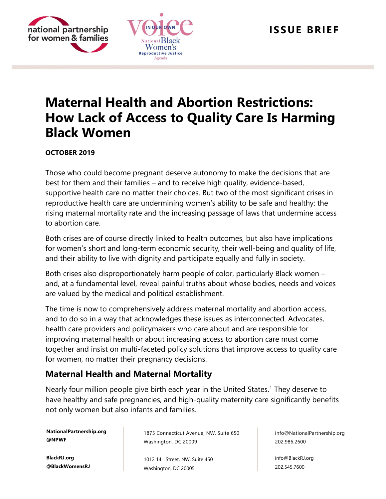

# **Maternal Health and Abortion Restrictions: How Lack of Access to Quality Care Is Harming Black Women**

#### **OCTOBER 2019**

national partnership for women & families

> Those who could become pregnant deserve autonomy to make the decisions that are best for them and their families – and to receive high quality, evidence-based, supportive health care no matter their choices. But two of the most significant crises in reproductive health care are undermining women's ability to be safe and healthy: the rising maternal mortality rate and the increasing passage of laws that undermine access to abortion care.

> Both crises are of course directly linked to health outcomes, but also have implications for women's short and long-term economic security, their well-being and quality of life, and their ability to live with dignity and participate equally and fully in society.

> Both crises also disproportionately harm people of color, particularly Black women – and, at a fundamental level, reveal painful truths about whose bodies, needs and voices are valued by the medical and political establishment.

> The time is now to comprehensively address maternal mortality and abortion access, and to do so in a way that acknowledges these issues as interconnected. Advocates, health care providers and policymakers who care about and are responsible for improving maternal health or about increasing access to abortion care must come together and insist on multi-faceted policy solutions that improve access to quality care for women, no matter their pregnancy decisions.

## **Maternal Health and Maternal Mortality**

Nearly four million people give birth each year in the United States.<sup>1</sup> They deserve to have healthy and safe pregnancies, and high-quality maternity care significantly benefits not only women but also infants and families.

**NationalPartnership.org @NPWF**

**BlackRJ.org @BlackWomensRJ** 1875 Connecticut Avenue, NW, Suite 650 Washington, DC 20009

1012 14<sup>th</sup> Street, NW, Suite 450 Washington, DC 20005

info@NationalPartnership.org 202.986.2600

info@BlackRJ.org 202.545.7600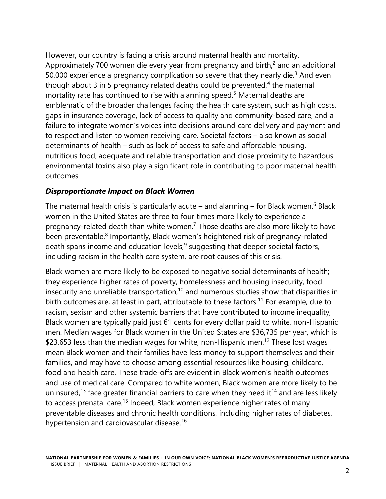However, our country is facing a crisis around maternal health and mortality. Approximately 700 women die every year from pregnancy and birth, $<sup>2</sup>$  and an additional</sup> 50,000 experience a pregnancy complication so severe that they nearly die.<sup>3</sup> And even though about  $3$  in 5 pregnancy related deaths could be prevented, $4$  the maternal mortality rate has continued to rise with alarming speed.<sup>5</sup> Maternal deaths are emblematic of the broader challenges facing the health care system, such as high costs, gaps in insurance coverage, lack of access to quality and community-based care, and a failure to integrate women's voices into decisions around care delivery and payment and to respect and listen to women receiving care. Societal factors – also known as social determinants of health – such as lack of access to safe and affordable housing, nutritious food, adequate and reliable transportation and close proximity to hazardous environmental toxins also play a significant role in contributing to poor maternal health outcomes.

#### *Disproportionate Impact on Black Women*

The maternal health crisis is particularly acute – and alarming – for Black women.<sup>6</sup> Black women in the United States are three to four times more likely to experience a pregnancy-related death than white women.<sup>7</sup> Those deaths are also more likely to have been preventable.<sup>8</sup> Importantly, Black women's heightened risk of pregnancy-related death spans income and education levels,  $9$  suggesting that deeper societal factors, including racism in the health care system, are root causes of this crisis.

Black women are more likely to be exposed to negative social determinants of health; they experience higher rates of poverty, homelessness and housing insecurity, food insecurity and unreliable transportation, $10$  and numerous studies show that disparities in birth outcomes are, at least in part, attributable to these factors.<sup>11</sup> For example, due to racism, sexism and other systemic barriers that have contributed to income inequality, Black women are typically paid just 61 cents for every dollar paid to white, non-Hispanic men. Median wages for Black women in the United States are \$36,735 per year, which is \$23,653 less than the median wages for white, non-Hispanic men.<sup>12</sup> These lost wages mean Black women and their families have less money to support themselves and their families, and may have to choose among essential resources like housing, childcare, food and health care. These trade-offs are evident in Black women's health outcomes and use of medical care. Compared to white women, Black women are more likely to be uninsured,<sup>13</sup> face greater financial barriers to care when they need it<sup>14</sup> and are less likely to access prenatal care.<sup>15</sup> Indeed, Black women experience higher rates of many preventable diseases and chronic health conditions, including higher rates of diabetes, hypertension and cardiovascular disease.<sup>16</sup>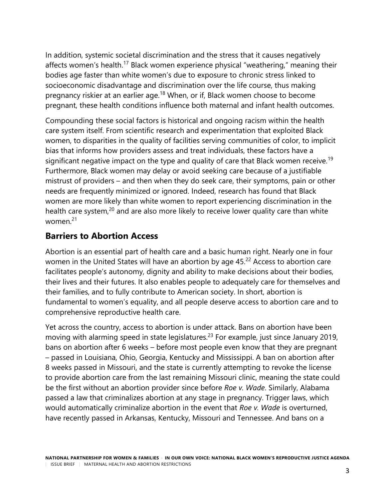In addition, systemic societal discrimination and the stress that it causes negatively affects women's health.<sup>17</sup> Black women experience physical "weathering," meaning their bodies age faster than white women's due to exposure to chronic stress linked to socioeconomic disadvantage and discrimination over the life course, thus making pregnancy riskier at an earlier age.<sup>18</sup> When, or if, Black women choose to become pregnant, these health conditions influence both maternal and infant health outcomes.

Compounding these social factors is historical and ongoing racism within the health care system itself. From scientific research and experimentation that exploited Black women, to disparities in the quality of facilities serving communities of color, to implicit bias that informs how providers assess and treat individuals, these factors have a significant negative impact on the type and quality of care that Black women receive.<sup>19</sup> Furthermore, Black women may delay or avoid seeking care because of a justifiable mistrust of providers – and then when they do seek care, their symptoms, pain or other needs are frequently minimized or ignored. Indeed, research has found that Black women are more likely than white women to report experiencing discrimination in the health care system,<sup>20</sup> and are also more likely to receive lower quality care than white women $21$ 

## **Barriers to Abortion Access**

Abortion is an essential part of health care and a basic human right. Nearly one in four women in the United States will have an abortion by age 45.<sup>22</sup> Access to abortion care facilitates people's autonomy, dignity and ability to make decisions about their bodies, their lives and their futures. It also enables people to adequately care for themselves and their families, and to fully contribute to American society. In short, abortion is fundamental to women's equality, and all people deserve access to abortion care and to comprehensive reproductive health care.

Yet across the country, access to abortion is under attack. Bans on abortion have been moving with alarming speed in state legislatures.<sup>23</sup> For example, just since January 2019, bans on abortion after 6 weeks – before most people even know that they are pregnant – passed in Louisiana, Ohio, Georgia, Kentucky and Mississippi. A ban on abortion after 8 weeks passed in Missouri, and the state is currently attempting to revoke the license to provide abortion care from the last remaining Missouri clinic, meaning the state could be the first without an abortion provider since before *Roe v. Wade*. Similarly, Alabama passed a law that criminalizes abortion at any stage in pregnancy. Trigger laws, which would automatically criminalize abortion in the event that *Roe v. Wade* is overturned, have recently passed in Arkansas, Kentucky, Missouri and Tennessee. And bans on a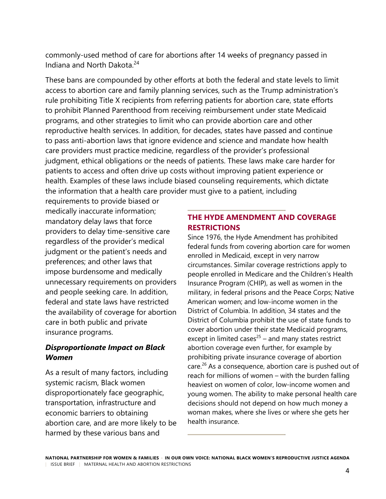commonly-used method of care for abortions after 14 weeks of pregnancy passed in Indiana and North Dakota.<sup>24</sup>

These bans are compounded by other efforts at both the federal and state levels to limit access to abortion care and family planning services, such as the Trump administration's rule prohibiting Title X recipients from referring patients for abortion care, state efforts to prohibit Planned Parenthood from receiving reimbursement under state Medicaid programs, and other strategies to limit who can provide abortion care and other reproductive health services. In addition, for decades, states have passed and continue to pass anti-abortion laws that ignore evidence and science and mandate how health care providers must practice medicine, regardless of the provider's professional judgment, ethical obligations or the needs of patients. These laws make care harder for patients to access and often drive up costs without improving patient experience or health. Examples of these laws include biased counseling requirements, which dictate the information that a health care provider must give to a patient, including

requirements to provide biased or medically inaccurate information; mandatory delay laws that force providers to delay time-sensitive care regardless of the provider's medical judgment or the patient's needs and preferences; and other laws that impose burdensome and medically unnecessary requirements on providers and people seeking care. In addition, federal and state laws have restricted the availability of coverage for abortion care in both public and private insurance programs.

#### *Disproportionate Impact on Black Women*

As a result of many factors, including systemic racism, Black women disproportionately face geographic, transportation, infrastructure and economic barriers to obtaining abortion care, and are more likely to be harmed by these various bans and

#### **THE HYDE AMENDMENT AND COVERAGE RESTRICTIONS**

Since 1976, the Hyde Amendment has prohibited federal funds from covering abortion care for women enrolled in Medicaid, except in very narrow circumstances. Similar coverage restrictions apply to people enrolled in Medicare and the Children's Health Insurance Program (CHIP), as well as women in the military, in federal prisons and the Peace Corps; Native American women; and low-income women in the District of Columbia. In addition, 34 states and the District of Columbia prohibit the use of state funds to cover abortion under their state Medicaid programs, except in limited cases $25$  – and many states restrict abortion coverage even further, for example by prohibiting private insurance coverage of abortion care.<sup>26</sup> As a consequence, abortion care is pushed out of reach for millions of women – with the burden falling heaviest on women of color, low-income women and young women. The ability to make personal health care decisions should not depend on how much money a woman makes, where she lives or where she gets her health insurance.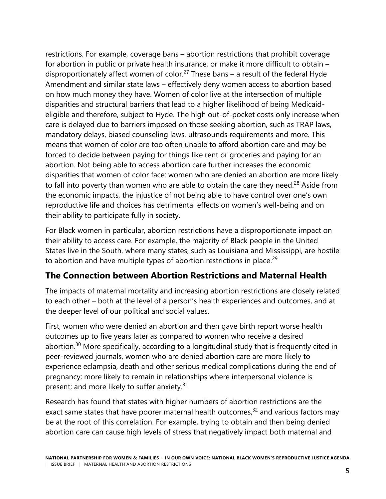restrictions. For example, coverage bans – abortion restrictions that prohibit coverage for abortion in public or private health insurance, or make it more difficult to obtain – disproportionately affect women of color.<sup>27</sup> These bans – a result of the federal Hyde Amendment and similar state laws – effectively deny women access to abortion based on how much money they have. Women of color live at the intersection of multiple disparities and structural barriers that lead to a higher likelihood of being Medicaideligible and therefore, subject to Hyde. The high out-of-pocket costs only increase when care is delayed due to barriers imposed on those seeking abortion, such as TRAP laws, mandatory delays, biased counseling laws, ultrasounds requirements and more. This means that women of color are too often unable to afford abortion care and may be forced to decide between paying for things like rent or groceries and paying for an abortion. Not being able to access abortion care further increases the economic disparities that women of color face: women who are denied an abortion are more likely to fall into poverty than women who are able to obtain the care they need.<sup>28</sup> Aside from the economic impacts, the injustice of not being able to have control over one's own reproductive life and choices has detrimental effects on women's well-being and on their ability to participate fully in society.

For Black women in particular, abortion restrictions have a disproportionate impact on their ability to access care. For example, the majority of Black people in the United States live in the South, where many states, such as Louisiana and Mississippi, are hostile to abortion and have multiple types of abortion restrictions in place.<sup>29</sup>

# **The Connection between Abortion Restrictions and Maternal Health**

The impacts of maternal mortality and increasing abortion restrictions are closely related to each other – both at the level of a person's health experiences and outcomes, and at the deeper level of our political and social values.

First, women who were denied an abortion and then gave birth report worse health outcomes up to five years later as compared to women who receive a desired abortion.<sup>30</sup> More specifically, according to a longitudinal study that is frequently cited in peer-reviewed journals, women who are denied abortion care are more likely to experience eclampsia, death and other serious medical complications during the end of pregnancy; more likely to remain in relationships where interpersonal violence is present; and more likely to suffer anxiety.<sup>31</sup>

Research has found that states with higher numbers of abortion restrictions are the exact same states that have poorer maternal health outcomes, $32$  and various factors may be at the root of this correlation. For example, trying to obtain and then being denied abortion care can cause high levels of stress that negatively impact both maternal and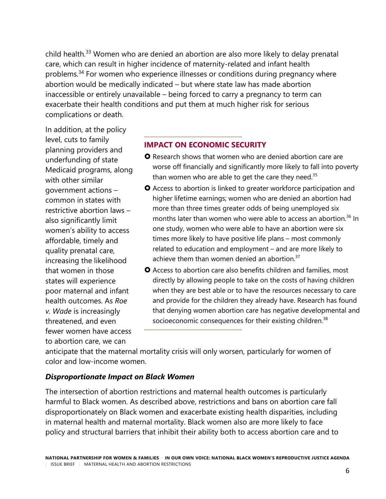child health.<sup>33</sup> Women who are denied an abortion are also more likely to delay prenatal care, which can result in higher incidence of maternity-related and infant health problems.<sup>34</sup> For women who experience illnesses or conditions during pregnancy where abortion would be medically indicated – but where state law has made abortion inaccessible or entirely unavailable – being forced to carry a pregnancy to term can exacerbate their health conditions and put them at much higher risk for serious complications or death.

In addition, at the policy level, cuts to family planning providers and underfunding of state Medicaid programs, along with other similar government actions – common in states with restrictive abortion laws – also significantly limit women's ability to access affordable, timely and quality prenatal care, increasing the likelihood that women in those states will experience poor maternal and infant health outcomes. As *Roe v. Wade* is increasingly threatened, and even fewer women have access to abortion care, we can

#### **IMPACT ON ECONOMIC SECURITY**

- **O** Research shows that women who are denied abortion care are worse off financially and significantly more likely to fall into poverty than women who are able to get the care they need. $35$
- Access to abortion is linked to greater workforce participation and higher lifetime earnings; women who are denied an abortion had more than three times greater odds of being unemployed six months later than women who were able to access an abortion.<sup>36</sup> In one study, women who were able to have an abortion were six times more likely to have positive life plans – most commonly related to education and employment – and are more likely to achieve them than women denied an abortion. $37$
- **O** Access to abortion care also benefits children and families, most directly by allowing people to take on the costs of having children when they are best able or to have the resources necessary to care and provide for the children they already have. Research has found that denying women abortion care has negative developmental and socioeconomic consequences for their existing children.<sup>38</sup>

anticipate that the maternal mortality crisis will only worsen, particularly for women of color and low-income women.

#### *Disproportionate Impact on Black Women*

The intersection of abortion restrictions and maternal health outcomes is particularly harmful to Black women. As described above, restrictions and bans on abortion care fall disproportionately on Black women and exacerbate existing health disparities, including in maternal health and maternal mortality. Black women also are more likely to face policy and structural barriers that inhibit their ability both to access abortion care and to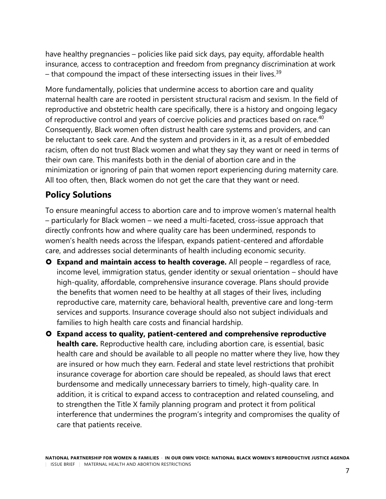have healthy pregnancies – policies like paid sick days, pay equity, affordable health insurance, access to contraception and freedom from pregnancy discrimination at work – that compound the impact of these intersecting issues in their lives.<sup>39</sup>

More fundamentally, policies that undermine access to abortion care and quality maternal health care are rooted in persistent structural racism and sexism. In the field of reproductive and obstetric health care specifically, there is a history and ongoing legacy of reproductive control and years of coercive policies and practices based on race.<sup>40</sup> Consequently, Black women often distrust health care systems and providers, and can be reluctant to seek care. And the system and providers in it, as a result of embedded racism, often do not trust Black women and what they say they want or need in terms of their own care. This manifests both in the denial of abortion care and in the minimization or ignoring of pain that women report experiencing during maternity care. All too often, then, Black women do not get the care that they want or need.

# **Policy Solutions**

To ensure meaningful access to abortion care and to improve women's maternal health – particularly for Black women – we need a multi-faceted, cross-issue approach that directly confronts how and where quality care has been undermined, responds to women's health needs across the lifespan, expands patient-centered and affordable care, and addresses social determinants of health including economic security.

- **Expand and maintain access to health coverage.** All people regardless of race, income level, immigration status, gender identity or sexual orientation – should have high-quality, affordable, comprehensive insurance coverage. Plans should provide the benefits that women need to be healthy at all stages of their lives, including reproductive care, maternity care, behavioral health, preventive care and long-term services and supports. Insurance coverage should also not subject individuals and families to high health care costs and financial hardship.
- **Expand access to quality, patient-centered and comprehensive reproductive health care.** Reproductive health care, including abortion care, is essential, basic health care and should be available to all people no matter where they live, how they are insured or how much they earn. Federal and state level restrictions that prohibit insurance coverage for abortion care should be repealed, as should laws that erect burdensome and medically unnecessary barriers to timely, high-quality care. In addition, it is critical to expand access to contraception and related counseling, and to strengthen the Title X family planning program and protect it from political interference that undermines the program's integrity and compromises the quality of care that patients receive.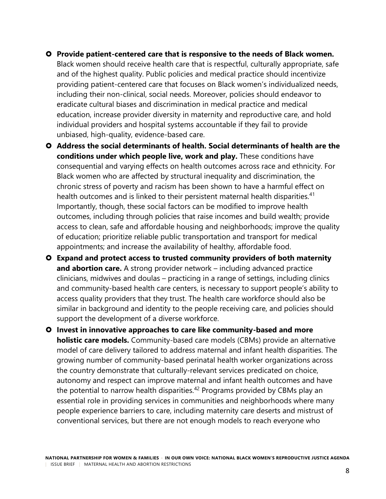- **Provide patient-centered care that is responsive to the needs of Black women.** Black women should receive health care that is respectful, culturally appropriate, safe and of the highest quality. Public policies and medical practice should incentivize providing patient-centered care that focuses on Black women's individualized needs, including their non-clinical, social needs. Moreover, policies should endeavor to eradicate cultural biases and discrimination in medical practice and medical education, increase provider diversity in maternity and reproductive care, and hold individual providers and hospital systems accountable if they fail to provide unbiased, high-quality, evidence-based care.
- **Address the social determinants of health. Social determinants of health are the conditions under which people live, work and play.** These conditions have consequential and varying effects on health outcomes across race and ethnicity. For Black women who are affected by structural inequality and discrimination, the chronic stress of poverty and racism has been shown to have a harmful effect on health outcomes and is linked to their persistent maternal health disparities.<sup>41</sup> Importantly, though, these social factors can be modified to improve health outcomes, including through policies that raise incomes and build wealth; provide access to clean, safe and affordable housing and neighborhoods; improve the quality of education; prioritize reliable public transportation and transport for medical appointments; and increase the availability of healthy, affordable food.
- **Expand and protect access to trusted community providers of both maternity and abortion care.** A strong provider network – including advanced practice clinicians, midwives and doulas – practicing in a range of settings, including clinics and community-based health care centers, is necessary to support people's ability to access quality providers that they trust. The health care workforce should also be similar in background and identity to the people receiving care, and policies should support the development of a diverse workforce.
- **Invest in innovative approaches to care like community-based and more holistic care models.** Community-based care models (CBMs) provide an alternative model of care delivery tailored to address maternal and infant health disparities. The growing number of community-based perinatal health worker organizations across the country demonstrate that culturally-relevant services predicated on choice, autonomy and respect can improve maternal and infant health outcomes and have the potential to narrow health disparities.<sup>42</sup> Programs provided by CBMs play an essential role in providing services in communities and neighborhoods where many people experience barriers to care, including maternity care deserts and mistrust of conventional services, but there are not enough models to reach everyone who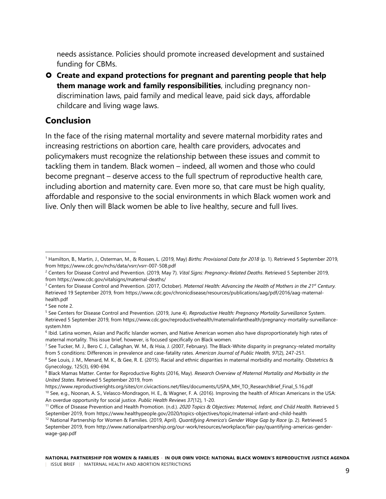needs assistance. Policies should promote increased development and sustained funding for CBMs.

 **Create and expand protections for pregnant and parenting people that help them manage work and family responsibilities**, including pregnancy nondiscrimination laws, paid family and medical leave, paid sick days, affordable childcare and living wage laws.

## **Conclusion**

In the face of the rising maternal mortality and severe maternal morbidity rates and increasing restrictions on abortion care, health care providers, advocates and policymakers must recognize the relationship between these issues and commit to tackling them in tandem. Black women – indeed, all women and those who could become pregnant – deserve access to the full spectrum of reproductive health care, including abortion and maternity care. Even more so, that care must be high quality, affordable and responsive to the social environments in which Black women work and live. Only then will Black women be able to live healthy, secure and full lives.

<sup>1</sup> Hamilton, B., Martin, J., Osterman, M., & Rossen, L. (2019, May) *Births: Provisional Data for 2018* (p. 1). Retrieved 5 September 2019, from<https://www.cdc.gov/nchs/data/vsrr/vsrr-007-508.pdf>  $\overline{a}$ 

<sup>2</sup> Centers for Disease Control and Prevention. (2019, May 7). *Vital Signs: Pregnancy-Related Deaths*. Retrieved 5 September 2019, from<https://www.cdc.gov/vitalsigns/maternal-deaths/>

<sup>3</sup> Centers for Disease Control and Prevention. (2017, October). *Maternal Health: Advancing the Health of Mothers in the 21st Century.*  Retrieved 19 September 2019, fro[m https://www.cdc.gov/chronicdisease/resources/publications/aag/pdf/2016/aag-maternal](https://www.cdc.gov/chronicdisease/resources/publications/aag/pdf/2016/aag-maternal-health.pdf)[health.pdf](https://www.cdc.gov/chronicdisease/resources/publications/aag/pdf/2016/aag-maternal-health.pdf)

<sup>4</sup> See note 2.

<sup>5</sup> See Centers for Disease Control and Prevention. (2019, June 4). *Reproductive Health: Pregnancy Mortality Surveillance* System. Retrieved 5 September 2019, from [https://www.cdc.gov/reproductivehealth/maternalinfanthealth/pregnancy-mortality-surveillance](https://www.cdc.gov/reproductivehealth/maternalinfanthealth/pregnancy-mortality-surveillance-system.htm)[system.htm](https://www.cdc.gov/reproductivehealth/maternalinfanthealth/pregnancy-mortality-surveillance-system.htm)

<sup>&</sup>lt;sup>6</sup> Ibid. Latina women, Asian and Pacific Islander women, and Native American women also have disproportionately high rates of maternal mortality. This issue brief, however, is focused specifically on Black women.

<sup>&</sup>lt;sup>7</sup> See Tucker, M. J., Bero C. J., Callaghan, W. M., & Hsia, J. (2007, February). The Black-White disparity in pregnancy-related mortality from 5 conditions: Differences in prevalence and case-fatality rates. *American Journal of Public Health, 97*(2), 247-251.

<sup>8</sup> See Louis, J. M., Menard, M. K., & Gee, R. E. (2015). Racial and ethnic disparities in maternal morbidity and mortality. Obstetrics & Gynecology, 125(3), 690-694.

<sup>9</sup> Black Mamas Matter. Center for Reproductive Rights (2016, May). *Research Overview of Maternal Mortality and Morbidity in the United States*. Retrieved 5 September 2019, from

[https://www.reproductiverights.org/sites/crr.civicactions.net/files/documents/USPA\\_MH\\_TO\\_ResearchBrief\\_Final\\_5.16.pdf](https://www.reproductiverights.org/sites/crr.civicactions.net/files/documents/USPA_MH_TO_ResearchBrief_Final_5.16.pdf) <sup>10</sup> See, e.g., Noonan, A. S., Velasco-Mondragon, H. E., & Wagner, F. A. (2016). Improving the health of African Americans in the USA: An overdue opportunity for social justice. *Public Health Reviews 37*(12), 1-20.

<sup>11</sup> Office of Disease Prevention and Health Promotion. (n.d.). *2020 Topics & Objectives: Maternal, Infant, and Child Health*. Retrieved 5 September 2019, from<https://www.healthypeople.gov/2020/topics-objectives/topic/maternal-infant-and-child-health>

<sup>12</sup> National Partnership for Women & Families. (2019, April). *Quantifying America's Gender Wage Gap by Race* (p. 2). Retrieved 5 September 2019, from [http://www.nationalpartnership.org/our-work/resources/workplace/fair-pay/quantifying-americas-gender](http://www.nationalpartnership.org/our-work/resources/workplace/fair-pay/quantifying-americas-gender-wage-gap.pdf)[wage-gap.pdf](http://www.nationalpartnership.org/our-work/resources/workplace/fair-pay/quantifying-americas-gender-wage-gap.pdf)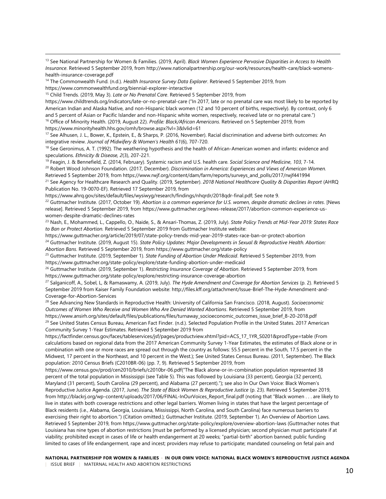<sup>13</sup> See National Partnership for Women & Families. (2019, April). *Black Women Experience Pervasive Disparities in Access to Health Insurance*. Retrieved 5 September 2019, fro[m http://www.nationalpartnership.org/our-work/resources/health-care/black-womens](http://www.nationalpartnership.org/our-work/resources/health-care/black-womens-health-insurance-coverage.pdf)[health-insurance-coverage.pdf](http://www.nationalpartnership.org/our-work/resources/health-care/black-womens-health-insurance-coverage.pdf)

<sup>14</sup> The Commonwealth Fund. (n.d.). *Health Insurance Survey Data Explorer*. Retrieved 5 September 2019, from <https://www.commonwealthfund.org/biennial-explorer-interactive>

<https://www.childtrends.org/indicators/late-or-no-prenatal-care> ("In 2017, late or no prenatal care was most likely to be reported by American Indian and Alaska Native, and non-Hispanic black women (12 and 10 percent of births, respectively). By contrast, only 6 and 5 percent of Asian or Pacific Islander and non-Hispanic white women, respectively, received late or no prenatal care.") <sup>16</sup> Office of Minority Health. (2019, August 22). *Profile: Black/African Americans*. Retrieved on 5 September 2019, from

<https://www.minorityhealth.hhs.gov/omh/browse.aspx?lvl=3&lvlid=61>

 $\overline{a}$ 

<sup>17</sup> See Alhusen, J. L., Bower, K., Epstein, E., & Sharps, P. (2016, November). Racial discrimination and adverse birth outcomes: An integrative review. *Journal of Midwifery & Women's Health 61*(6), 707-720.

<sup>18</sup> See Geronimus, A. T. (1992). The weathering hypothesis and the health of African-American women and infants: evidence and speculations. *Ethnicity & Disease, 2*(3), 207-221.

<sup>19</sup> Feagin, J. & Bennefield, Z. (2014, February). Systemic racism and U.S. health care. *Social Science and Medicine*, *103*, 7-14. <sup>20</sup> Robert Wood Johnson Foundation. (2017, December). *Discrimination in America: Experiences and Views of American Women.*  Retrieved 5 September 2019, from [https://www.rwjf.org/content/dam/farm/reports/surveys\\_and\\_polls/2017/rwjf441994](https://www.rwjf.org/content/dam/farm/reports/surveys_and_polls/2017/rwjf441994)

<sup>21</sup> See Agency for Healthcare Research and Quality. (2019, September). *2018 National Healthcare Quality & Disparities Report* (AHRQ Publication No. 19-0070-EF). Retrieved 17 September 2019, from

[https://www.ahrq.gov/sites/default/files/wysiwyg/research/findings/nhqrdr/2018qdr-final.pdf;](https://www.ahrq.gov/sites/default/files/wysiwyg/research/findings/nhqrdr/2018qdr-final.pdf) See note 9.

<sup>22</sup> Guttmacher Institute. (2017, October 19). *Abortion is a common experience for U.S. women, despite dramatic declines in rates*. [News release]. Retrieved 5 September 2019, from [https://www.guttmacher.org/news-release/2017/abortion-common-experience-us](https://www.guttmacher.org/news-release/2017/abortion-common-experience-us-women-despite-dramatic-declines-rates)[women-despite-dramatic-declines-rates](https://www.guttmacher.org/news-release/2017/abortion-common-experience-us-women-despite-dramatic-declines-rates)

<sup>23</sup> Nash, E., Mohammed, L., Cappello, O., Naide, S., & Ansari-Thomas, Z. (2019, July). *State Policy Trends at Mid-Year 2019: States Race to Ban or Protect Abortion.* Retrieved 5 September 2019 from Guttmacher Institute website:

<https://www.guttmacher.org/article/2019/07/state-policy-trends-mid-year-2019-states-race-ban-or-protect-abortion>

<sup>24</sup> Guttmacher Institute. (2019, August 15). *State Policy Updates: Major Developments in Sexual & Reproductive Health. Abortion: Abortion Bans*. Retrieved 5 September 2019, fro[m https://www.guttmacher.org/state-policy](https://www.guttmacher.org/state-policy)

<sup>25</sup> Guttmacher Institute. (2019, September 1). *State Funding of Abortion Under Medicaid*. Retrieved 5 September 2019, from <https://www.guttmacher.org/state-policy/explore/state-funding-abortion-under-medicaid>

<sup>26</sup> Guttmacher Institute. (2019, September 1). *Restricting Insurance Coverage of Abortion*. Retrieved 5 September 2019, from <https://www.guttmacher.org/state-policy/explore/restricting-insurance-coverage-abortion>

<sup>27</sup> Salganicoff, A., Sobel, L, & Ramaswamy, A. (2019, July). *The Hyde Amendment and Coverage for Abortion Services* (p. 2). Retrieved 5 September 2019 from Kaiser Family Foundation website[: http://files.kff.org/attachment/Issue-Brief-The-Hyde-Amendment-and-](http://files.kff.org/attachment/Issue-Brief-The-Hyde-Amendment-and-Coverage-for-Abortion-Services)[Coverage-for-Abortion-Services](http://files.kff.org/attachment/Issue-Brief-The-Hyde-Amendment-and-Coverage-for-Abortion-Services)

<sup>28</sup> See Advancing New Standards in Reproductive Health: University of California San Francisco. (2018, August). *Socioeconomic Outcomes of Women Who Receive and Women Who Are Denied Wanted Abortions*. Retrieved 5 September 2019, from [https://www.ansirh.org/sites/default/files/publications/files/turnaway\\_socioeconomic\\_outcomes\\_issue\\_brief\\_8-20-2018.pdf](https://www.ansirh.org/sites/default/files/publications/files/turnaway_socioeconomic_outcomes_issue_brief_8-20-2018.pdf) <sup>29</sup> See United States Census Bureau, American Fact Finder. (n.d.). Selected Population Profile in the United States. 2017 American Community Survey 1-Year Estimates. Retrieved 5 September 2019 from

[https://factfinder.census.gov/faces/tableservices/jsf/pages/productview.xhtml?pid=ACS\\_17\\_1YR\\_S0201&prodType=table](https://factfinder.census.gov/faces/tableservices/jsf/pages/productview.xhtml?pid=ACS_17_1YR_S0201&prodType=table) (From calculations based on regional data from the 2017 American Community Survey 1-Year Estimates, the estimates of Black alone or in combination with one or more races are spread out through the country as follows: 55.5 percent in the South, 17.5 percent in the Midwest, 17 percent in the Northeast, and 10 percent in the West.); See United States Census Bureau. (2011, September). The Black population: 2010 Census Briefs (C2010BR-06) (pp. 7, 9). Retrieved 5 September 2019, from

<https://www.census.gov/prod/cen2010/briefs/c2010br-06.pdf>("The Black alone-or-in-combination population represented 38 percent of the total population in Mississippi (see Table 5). This was followed by Louisiana (33 percent), Georgia (32 percent), Maryland (31 percent), South Carolina (29 percent), and Alabama (27 percent)."); see also In Our Own Voice: Black Women's Reproductive Justice Agenda. (2017, June). *The State of Black Women & Reproductive Justice* (p. 23). Retrieved 5 September 2019, from [http://blackrj.org/wp-content/uploads/2017/06/FINAL-InOurVoices\\_Report\\_final.pdf](http://blackrj.org/wp-content/uploads/2017/06/FINAL-InOurVoices_Report_final.pdf) (noting that "Black women . . . are likely to live in states with both coverage restrictions and other legal barriers. Women living in states that have the largest percentage of Black residents (i.e., Alabama, Georgia, Louisiana, Mississippi, North Carolina, and South Carolina) face numerous barriers to exercising their right to abortion.") (Citation omitted.); Guttmacher Institute. (2019, September 1). An Overview of Abortion Laws. Retrieved 5 September 2019, from<https://www.guttmacher.org/state-policy/explore/overview-abortion-laws> (Guttmacher notes that Louisiana has nine types of abortion restrictions [must be performed by a licensed physician; second physician must participate if at viability; prohibited except in cases of life or health endangerment at 20 weeks; "partial-birth" abortion banned; public funding limited to cases of life endangerment, rape and incest; providers may refuse to participate; mandated counseling on fetal pain and

**NATIONAL PARTNERSHIP FOR WOMEN & FAMILIES** + **IN OUR OWN VOICE: NATIONAL BLACK WOMEN'S REPRODUCTIVE JUSTICE AGENDA** | ISSUE BRIEF | MATERNAL HEALTH AND ABORTION RESTRICTIONS

<sup>15</sup> Child Trends. (2019, May 3). *Late or No Prenatal Care*. Retrieved 5 September 2019, from